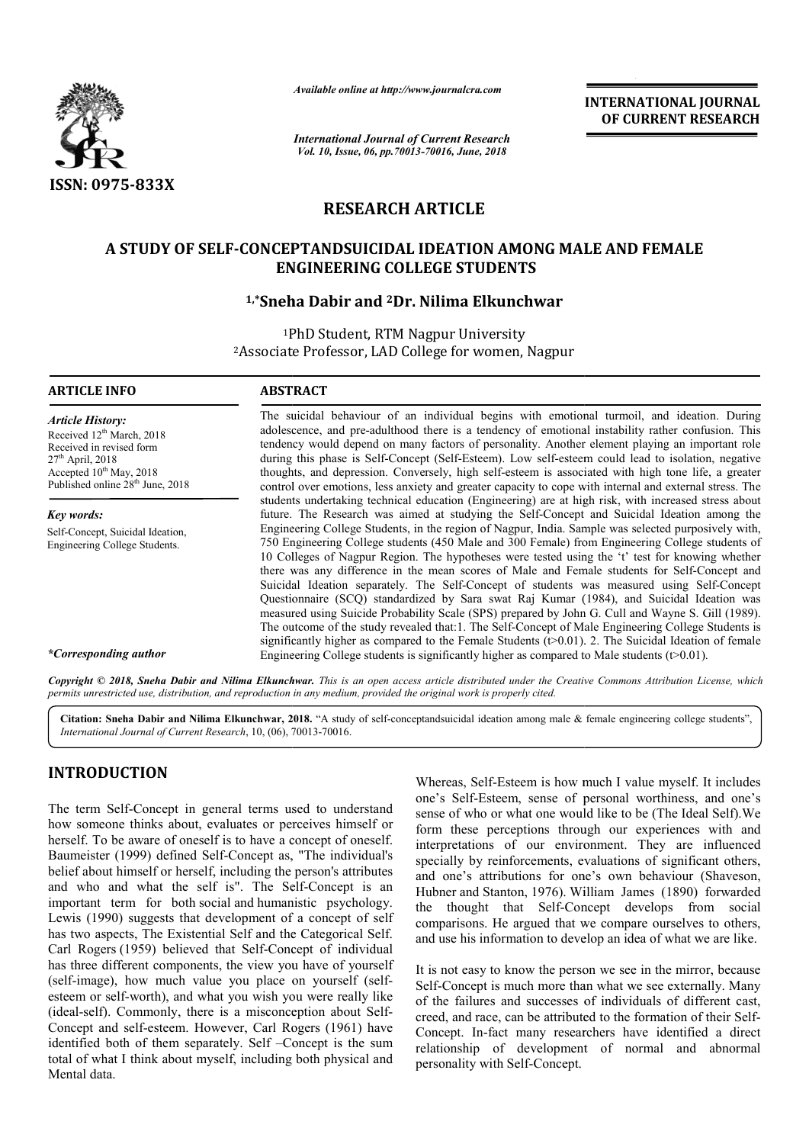

*Available online at http://www.journalcra.com*

*International Journal of Current Research Vol. 10, Issue, 06, pp.70013-70016, June, 2018*

**INTERNATIONAL JOURNAL OF CURRENT RESEARCH**

# **RESEARCH ARTICLE**

# A STUDY OF SELF-CONCEPTANDSUICIDAL IDEATION AMONG MALE AND FEMALE<br>ENGINEERING COLLEGE STUDENTS<br><sup>1,\*</sup>Sneha Dabir and <sup>2</sup>Dr. Nilima Elkunchwar **ENGINEERING COLLEGE STUDENTS**

# **1,\*Sneha Dabir and**

1Ph PhD Student, RTM Nagpur University 2Associate Professor Associate Professor, LAD College for women, Nagpur

#### **ARTICLE INFO ABSTRACT**

*Article History:* Received 12<sup>th</sup> March, 2018 Received in revised form  $27<sup>th</sup>$  April, 2018 Accepted 10<sup>th</sup> May, 2018 Published online 28<sup>th</sup> June, 2018

*Key words:* Self-Concept, Suicidal Ideation, Engineering College Students.

The suicidal behaviour of an individual begins with emotional turmoil, and ideation. During adolescence, and pre-adulthood there is a tendency of emotional instability rather confusion. This tendency would depend on many factors of personality. Another element playing an important role during this phase is Self Self-Concept (Self-Esteem). Low self-esteem could lead to isolation, negative thoughts, and depression. Conversely, high self-esteem is associated with high tone life, a greater control over emotions, less anxiety and greater capacity to cope with internal and external stress. The students undertaking technical education (Engineering) are at high risk, with increa future. The Research was aimed at studying the Self-Concept and Suicidal Ideation among the Engineering College Students, in the region of Nagpur, India. Sample was selected purposively with, 750 Engineering College students (450 Male and 300 Female) from Engineering College students of 10 Colleges of Nagpur Region. The hypotheses were tested using the 't' test for knowing whether there was any difference in the mean scores of Male and Female students for Self Suicidal Ideation separately. The Self-Concept of students was measured using Self-Concept Questionnaire (SCQ) standardized by Sara swat Raj Kumar (1984), and Suicidal Ideation was Questionnaire (SCQ) standardized by Sara swat Raj Kumar (1984), and Suicidal Ideation was measured using Suicide Probability Scale (SPS) prepared by John G. Cull and Wayne S. Gill (1989). The outcome of the study revealed that: 1. The Self-Concept of Male Engineering College Students is significantly higher as compared to the Female Students  $(\geq 0.01)$ . 2. The Suicidal Ideation of female Engineering College students is significantly higher as compared to Male students ( $t > 0.01$ ). tendency would depend on many factors of personality. Another element playing an important role during this phase is Self-Concept (Self-Esteem). Low self-esteem could lead to isolation, negative thoughts, and depression. C Engineering College Students, in the region of Nagpur, India. Sample was selected purposively with, 750 Engineering College students (450 Male and 300 Female) from Engineering College students of 10 Colleges of Nagpur Regi **INTERNATIONAL JOURNAL OF CURRENT RESEARCH CONCEMENT RESEARCH CONCEMENT RESEARCH (SEE AND FEMALE S)<br>
War War Theorional instability transformation. During the motional instability transformation, This present conditions a** 

*\*Corresponding author*

Copyright © 2018, Sneha Dabir and Nilima Elkunchwar. This is an open access article distributed under the Creative Commons Attribution License, which permits unrestricted use, distribution, and reproduction in any medium, provided the original work is properly cited.

Citation: Sneha Dabir and Nilima Elkunchwar, 2018. "A study of self-conceptandsuicidal ideation among male & female engineering college students", *International Journal of Current Research*, 10, (06), 70013 70013-70016.

# **INTRODUCTION**

The term Self-Concept in general terms used to understand how someone thinks about, evaluates or perceives himself or herself. To be aware of oneself is to have a concept of oneself. Baumeister (1999) defined Self-Concept as, "The individual's belief about himself or herself, including the person's attributes and who and what the self is". The Self-Concept is an important term for both social and humanistic psychology. Lewis (1990) suggests that development of a concept of self has two aspects, The Existential Self and the Categorical Self. has two aspects, The Existential Self and the Categorical Self.<br>Carl Rogers (1959) believed that Self-Concept of individual has three different components, the view you have of yourself (self-image), how much value you place on yourself (selfesteem or self-worth), and what you wish you were really like esteem or self-worth), and what you wish you were really like<br>(ideal-self). Commonly, there is a misconception about Self-Concept and self-esteem. However, Carl Rogers (1961) have identified both of them separately. Self –Concept is the sum total of what I think about myself, including both physical and Mental data. Concept in general terms used to understand<br>hinks about, evaluates or perceives himself or<br>ware of oneself is to have a concept of oneself.<br>99) defined Self-Concept as, "The individual's<br>nself or herself, including the per esteem. However, Carl Rogers (1961) have<br>them separately. Self -Concept is the sum<br>nk about myself, including both physical and

Whereas, Self-Esteem is how much I value myself. It includes one's Self-Esteem, sense of personal worthiness, and one's sense of who or what one would like to be (The Ideal Self).We Whereas, Self-Esteem is how much I value myself. It includes one's Self-Esteem, sense of personal worthiness, and one's sense of who or what one would like to be (The Ideal Self). We form these perceptions through our expe interpretations of our environment. They are influenced specially by reinforcements, evaluations of significant others, and one's attributions for one's own behaviour (Shaveson, Hubner and Stanton, 1976). William James (18 specially by reinforcements, evaluations of significant others, and one's attributions for one's own behaviour (Shaveson, Hubner and Stanton, 1976). William James (1890) forwarded the thought that Self-Concept develops from social comparisons. He argued that we compare ourselves to others, and use his information to develop an idea of what we are like.

It is not easy to know the person we see in the mirror, because Self-Concept is much more than what we see externally. Many of the failures and successes of individuals of different cast, creed, and race, can be attributed to the formation of their Self Concept. In-fact many researchers have identified a direct Concept. In-fact many researchers have identified a direct relationship of development of normal and abnormal personality with Self-Concept. not easy to know the person we see in the mirror, because<br>Concept is much more than what we see externally. Many<br>he failures and successes of individuals of different cast,<br>d, and race, can be attributed to the formation o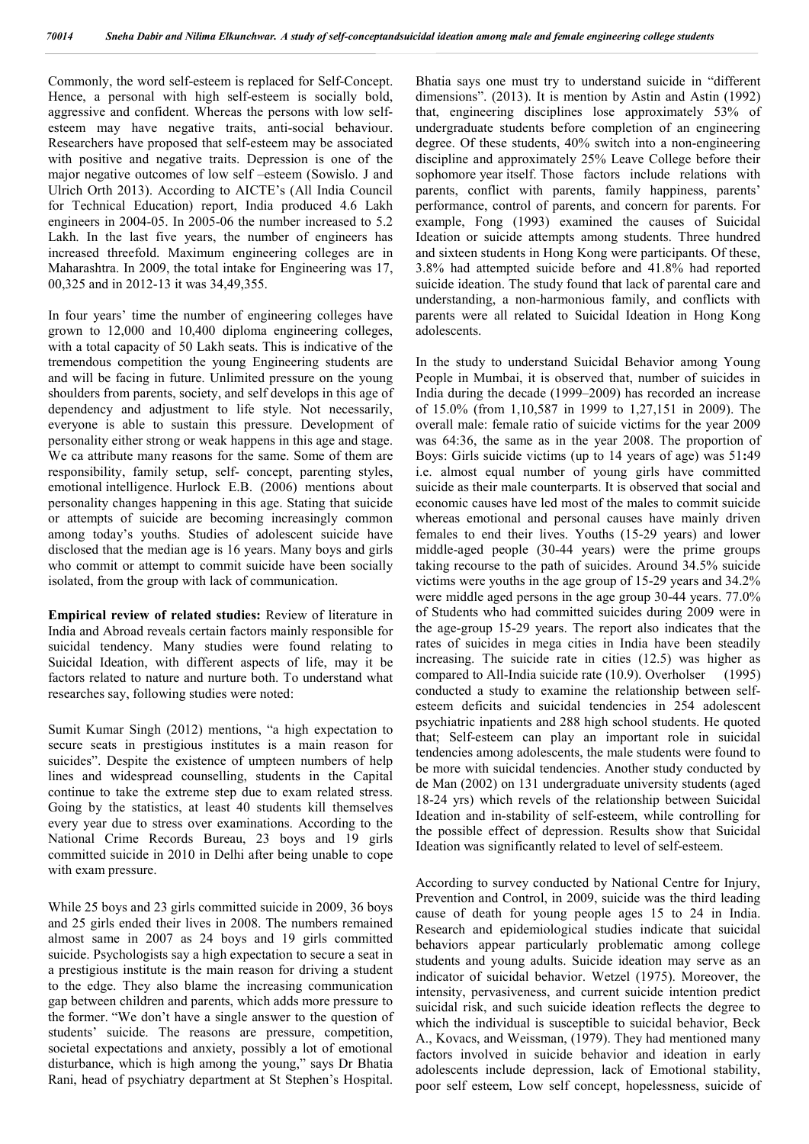Commonly, the word self-esteem is replaced for Self-Concept. Hence, a personal with high self-esteem is socially bold, aggressive and confident. Whereas the persons with low selfesteem may have negative traits, anti-social behaviour. Researchers have proposed that self-esteem may be associated with positive and negative traits. Depression is one of the major negative outcomes of low self –esteem (Sowislo. J and Ulrich Orth 2013). According to AICTE's (All India Council for Technical Education) report, India produced 4.6 Lakh engineers in 2004-05. In 2005-06 the number increased to 5.2 Lakh. In the last five years, the number of engineers has increased threefold. Maximum engineering colleges are in Maharashtra. In 2009, the total intake for Engineering was 17, 00,325 and in 2012-13 it was 34,49,355.

In four years' time the number of engineering colleges have grown to 12,000 and 10,400 diploma engineering colleges, with a total capacity of 50 Lakh seats. This is indicative of the tremendous competition the young Engineering students are and will be facing in future. Unlimited pressure on the young shoulders from parents, society, and self develops in this age of dependency and adjustment to life style. Not necessarily, everyone is able to sustain this pressure. Development of personality either strong or weak happens in this age and stage. We ca attribute many reasons for the same. Some of them are responsibility, family setup, self- concept, parenting styles, emotional intelligence. Hurlock E.B. (2006) mentions about personality changes happening in this age. Stating that suicide or attempts of suicide are becoming increasingly common among today's youths. Studies of adolescent suicide have disclosed that the median age is 16 years. Many boys and girls who commit or attempt to commit suicide have been socially isolated, from the group with lack of communication.

**Empirical review of related studies:** Review of literature in India and Abroad reveals certain factors mainly responsible for suicidal tendency. Many studies were found relating to Suicidal Ideation, with different aspects of life, may it be factors related to nature and nurture both. To understand what researches say, following studies were noted:

Sumit Kumar Singh (2012) mentions, "a high expectation to secure seats in prestigious institutes is a main reason for suicides". Despite the existence of umpteen numbers of help lines and widespread counselling, students in the Capital continue to take the extreme step due to exam related stress. Going by the statistics, at least 40 students kill themselves every year due to stress over examinations. According to the National Crime Records Bureau, 23 boys and 19 girls committed suicide in 2010 in Delhi after being unable to cope with exam pressure.

While 25 boys and 23 girls committed suicide in 2009, 36 boys and 25 girls ended their lives in 2008. The numbers remained almost same in 2007 as 24 boys and 19 girls committed suicide. Psychologists say a high expectation to secure a seat in a prestigious institute is the main reason for driving a student to the edge. They also blame the increasing communication gap between children and parents, which adds more pressure to the former. "We don't have a single answer to the question of students' suicide. The reasons are pressure, competition, societal expectations and anxiety, possibly a lot of emotional disturbance, which is high among the young," says Dr Bhatia Rani, head of psychiatry department at St Stephen's Hospital.

Bhatia says one must try to understand suicide in "different dimensions". (2013). It is mention by Astin and Astin (1992) that, engineering disciplines lose approximately 53% of undergraduate students before completion of an engineering degree. Of these students, 40% switch into a non-engineering discipline and approximately 25% Leave College before their sophomore year itself. Those factors include relations with parents, conflict with parents, family happiness, parents' performance, control of parents, and concern for parents. For example, Fong (1993) examined the causes of Suicidal Ideation or suicide attempts among students. Three hundred and sixteen students in Hong Kong were participants. Of these, 3.8% had attempted suicide before and 41.8% had reported suicide ideation. The study found that lack of parental care and understanding, a non-harmonious family, and conflicts with parents were all related to Suicidal Ideation in Hong Kong adolescents.

In the study to understand Suicidal Behavior among Young People in Mumbai, it is observed that, number of suicides in India during the decade (1999–2009) has recorded an increase of 15.0% (from 1,10,587 in 1999 to 1,27,151 in 2009). The overall male: female ratio of suicide victims for the year 2009 was 64:36, the same as in the year 2008. The proportion of Boys: Girls suicide victims (up to 14 years of age) was 51**:**49 i.e. almost equal number of young girls have committed suicide as their male counterparts. It is observed that social and economic causes have led most of the males to commit suicide whereas emotional and personal causes have mainly driven females to end their lives. Youths (15-29 years) and lower middle-aged people (30-44 years) were the prime groups taking recourse to the path of suicides. Around 34.5% suicide victims were youths in the age group of 15-29 years and 34.2% were middle aged persons in the age group 30-44 years. 77.0% of Students who had committed suicides during 2009 were in the age-group 15-29 years. The report also indicates that the rates of suicides in mega cities in India have been steadily increasing. The suicide rate in cities (12.5) was higher as compared to All-India suicide rate (10.9). Overholser (1995) conducted a study to examine the relationship between selfesteem deficits and suicidal tendencies in 254 adolescent psychiatric inpatients and 288 high school students. He quoted that; Self-esteem can play an important role in suicidal tendencies among adolescents, the male students were found to be more with suicidal tendencies. Another study conducted by de Man (2002) on 131 undergraduate university students (aged 18-24 yrs) which revels of the relationship between Suicidal Ideation and in-stability of self-esteem, while controlling for the possible effect of depression. Results show that Suicidal Ideation was significantly related to level of self-esteem.

According to survey conducted by National Centre for Injury, Prevention and Control, in 2009, suicide was the third leading cause of death for young people ages 15 to 24 in India. Research and epidemiological studies indicate that suicidal behaviors appear particularly problematic among college students and young adults. Suicide ideation may serve as an indicator of suicidal behavior. Wetzel (1975). Moreover, the intensity, pervasiveness, and current suicide intention predict suicidal risk, and such suicide ideation reflects the degree to which the individual is susceptible to suicidal behavior, Beck A., Kovacs, and Weissman, (1979). They had mentioned many factors involved in suicide behavior and ideation in early adolescents include depression, lack of Emotional stability, poor self esteem, Low self concept, hopelessness, suicide of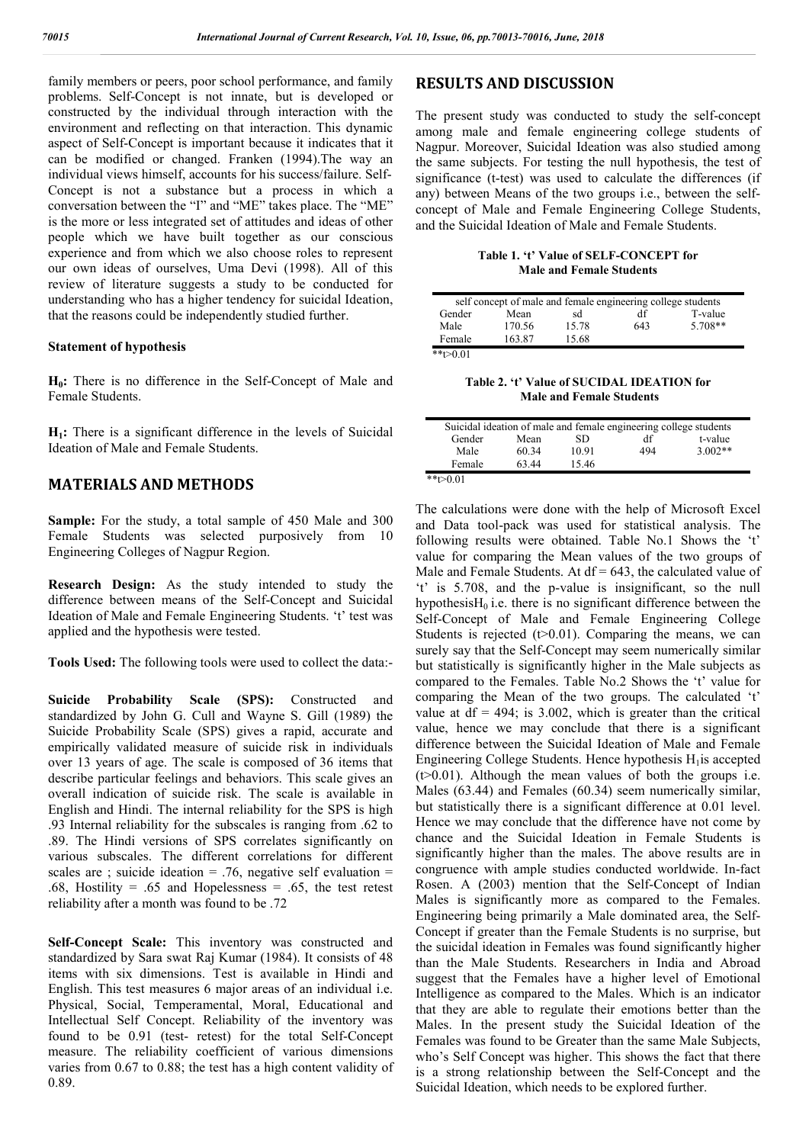family members or peers, poor school performance, and family problems. Self-Concept is not innate, but is developed or constructed by the individual through interaction with the environment and reflecting on that interaction. This dynamic aspect of Self-Concept is important because it indicates that it can be modified or changed. Franken (1994).The way an individual views himself, accounts for his success/failure. Self-Concept is not a substance but a process in which a conversation between the "I" and "ME" takes place. The "ME" is the more or less integrated set of attitudes and ideas of other people which we have built together as our conscious experience and from which we also choose roles to represent our own ideas of ourselves, Uma Devi (1998). All of this review of literature suggests a study to be conducted for understanding who has a higher tendency for suicidal Ideation, that the reasons could be independently studied further.

#### **Statement of hypothesis**

**H0:** There is no difference in the Self-Concept of Male and Female Students.

**H1:** There is a significant difference in the levels of Suicidal Ideation of Male and Female Students.

# **MATERIALS AND METHODS**

**Sample:** For the study, a total sample of 450 Male and 300 Female Students was selected purposively from 10 Engineering Colleges of Nagpur Region.

**Research Design:** As the study intended to study the difference between means of the Self-Concept and Suicidal Ideation of Male and Female Engineering Students. 't' test was applied and the hypothesis were tested.

**Tools Used:** The following tools were used to collect the data:-

**Suicide Probability Scale (SPS):** Constructed and standardized by John G. Cull and Wayne S. Gill (1989) the Suicide Probability Scale (SPS) gives a rapid, accurate and empirically validated measure of suicide risk in individuals over 13 years of age. The scale is composed of 36 items that describe particular feelings and behaviors. This scale gives an overall indication of suicide risk. The scale is available in English and Hindi. The internal reliability for the SPS is high .93 Internal reliability for the subscales is ranging from .62 to .89. The Hindi versions of SPS correlates significantly on various subscales. The different correlations for different scales are ; suicide ideation = .76, negative self evaluation = .68, Hostility = .65 and Hopelessness = .65, the test retest reliability after a month was found to be .72

**Self-Concept Scale:** This inventory was constructed and standardized by Sara swat Raj Kumar (1984). It consists of 48 items with six dimensions. Test is available in Hindi and English. This test measures 6 major areas of an individual i.e. Physical, Social, Temperamental, Moral, Educational and Intellectual Self Concept. Reliability of the inventory was found to be 0.91 (test- retest) for the total Self-Concept measure. The reliability coefficient of various dimensions varies from 0.67 to 0.88; the test has a high content validity of 0.89.

# **RESULTS AND DISCUSSION**

The present study was conducted to study the self-concept among male and female engineering college students of Nagpur. Moreover, Suicidal Ideation was also studied among the same subjects. For testing the null hypothesis, the test of significance (t-test) was used to calculate the differences (if any) between Means of the two groups i.e., between the selfconcept of Male and Female Engineering College Students, and the Suicidal Ideation of Male and Female Students.

**Table 1. 't' Value of SELF-CONCEPT for Male and Female Students**

| self concept of male and female engineering college students |        |       |     |           |  |  |
|--------------------------------------------------------------|--------|-------|-----|-----------|--|--|
| Gender                                                       | Mean   | sd    | df  | T-value   |  |  |
| Male                                                         | 170.56 | 15.78 | 643 | $5.708**$ |  |  |
| Female                                                       | 163.87 | 15.68 |     |           |  |  |
| $**t>0.01$                                                   |        |       |     |           |  |  |

**Table 2. 't' Value of SUCIDAL IDEATION for Male and Female Students**

|             |       |       | Suicidal ideation of male and female engineering college students |           |
|-------------|-------|-------|-------------------------------------------------------------------|-----------|
| Gender      | Mean  | SD    | df                                                                | t-value   |
| Male        | 60.34 | 10.91 | 494                                                               | $3.002**$ |
| Female      | 63.44 | 15.46 |                                                                   |           |
| ** $t>0.01$ |       |       |                                                                   |           |

The calculations were done with the help of Microsoft Excel and Data tool-pack was used for statistical analysis. The following results were obtained. Table No.1 Shows the 't' value for comparing the Mean values of the two groups of Male and Female Students. At  $df = 643$ , the calculated value of 't' is 5.708, and the p-value is insignificant, so the null hypothesis $H_0$  i.e. there is no significant difference between the Self-Concept of Male and Female Engineering College Students is rejected  $(1)$  = 0.01). Comparing the means, we can surely say that the Self-Concept may seem numerically similar but statistically is significantly higher in the Male subjects as compared to the Females. Table No.2 Shows the 't' value for comparing the Mean of the two groups. The calculated 't' value at  $df = 494$ ; is 3.002, which is greater than the critical value, hence we may conclude that there is a significant difference between the Suicidal Ideation of Male and Female Engineering College Students. Hence hypothesis  $H_1$ is accepted  $(t>0.01)$ . Although the mean values of both the groups i.e. Males (63.44) and Females (60.34) seem numerically similar, but statistically there is a significant difference at 0.01 level. Hence we may conclude that the difference have not come by chance and the Suicidal Ideation in Female Students is significantly higher than the males. The above results are in congruence with ample studies conducted worldwide. In-fact Rosen. A (2003) mention that the Self-Concept of Indian Males is significantly more as compared to the Females. Engineering being primarily a Male dominated area, the Self-Concept if greater than the Female Students is no surprise, but the suicidal ideation in Females was found significantly higher than the Male Students. Researchers in India and Abroad suggest that the Females have a higher level of Emotional Intelligence as compared to the Males. Which is an indicator that they are able to regulate their emotions better than the Males. In the present study the Suicidal Ideation of the Females was found to be Greater than the same Male Subjects, who's Self Concept was higher. This shows the fact that there is a strong relationship between the Self-Concept and the Suicidal Ideation, which needs to be explored further.